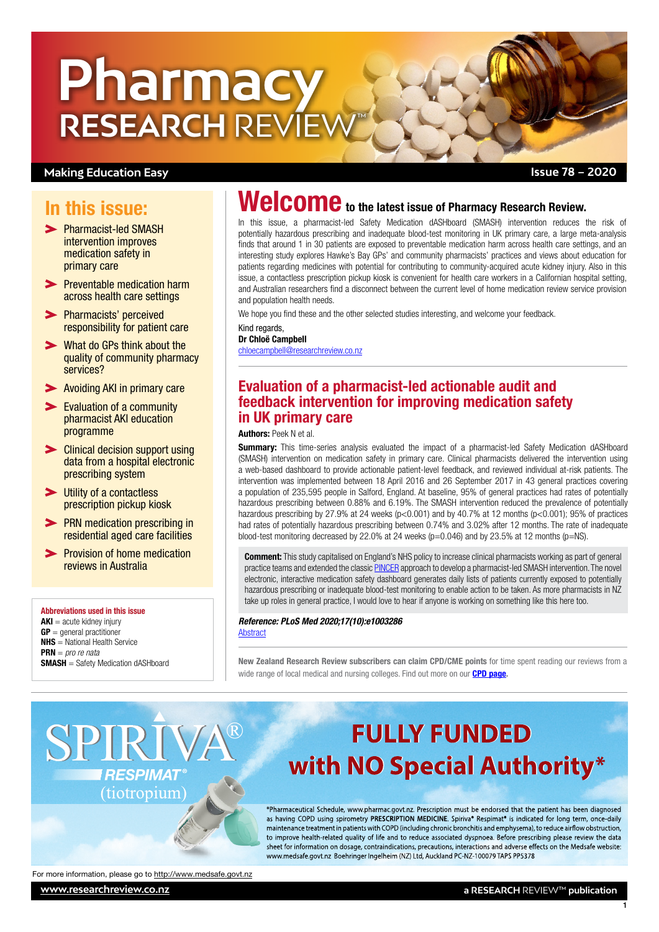# **Pharmacy RESEARCH REVIEW**

## **Making Education Easy**

## In this issue:

- Pharmacist-led SMASH intervention improves medication safety in primary care
- **>** Preventable medication harm [across health care settings](#page-1-0)
- > Pharmacists' perceived [responsibility for patient care](#page-2-0)
- [What do GPs think about the](#page-2-0)  [quality of community pharmacy](#page-2-0)  [services?](#page-2-0)
- [Avoiding AKI in primary care](#page-2-0)
- **Evaluation of a community** [pharmacist AKI education](#page-2-0)  [programme](#page-2-0)
- **>** Clinical decision support using [data from a hospital electronic](#page-3-0)  [prescribing system](#page-3-0)
- [Utility of a contactless](#page-3-0)  [prescription pickup kiosk](#page-3-0)
- **>** PRN medication prescribing in [residential aged care facilities](#page-3-0)
- **>** Provision of home medication [reviews in Australia](#page-3-0)

#### Abbreviations used in this issue

 $AKI = acute$  kidney injury  $GP =$  general practitioner NHS = National Health Service PRN = *pro re nata* SMASH = Safety Medication dASHboard

## Welcome to the latest issue of Pharmacy Research Review.

In this issue, a pharmacist-led Safety Medication dASHboard (SMASH) intervention reduces the risk of potentially hazardous prescribing and inadequate blood-test monitoring in UK primary care, a large meta-analysis finds that around 1 in 30 patients are exposed to preventable medication harm across health care settings, and an interesting study explores Hawke's Bay GPs' and community pharmacists' practices and views about education for patients regarding medicines with potential for contributing to community-acquired acute kidney injury. Also in this issue, a contactless prescription pickup kiosk is convenient for health care workers in a Californian hospital setting, and Australian researchers find a disconnect between the current level of home medication review service provision and population health needs.

We hope you find these and the other selected studies interesting, and welcome your feedback.

Kind regards, Dr Chloë Campbell [chloecampbell@researchreview.co.nz](mailto:chloecampbell@researchreview.co.nz)

## Evaluation of a pharmacist-led actionable audit and feedback intervention for improving medication safety in UK primary care

#### Authors: Peek N et al.

**Summary:** This time-series analysis evaluated the impact of a pharmacist-led Safety Medication dASHboard (SMASH) intervention on medication safety in primary care. Clinical pharmacists delivered the intervention using a web-based dashboard to provide actionable patient-level feedback, and reviewed individual at-risk patients. The intervention was implemented between 18 April 2016 and 26 September 2017 in 43 general practices covering a population of 235,595 people in Salford, England. At baseline, 95% of general practices had rates of potentially hazardous prescribing between 0.88% and 6.19%. The SMASH intervention reduced the prevalence of potentially hazardous prescribing by 27.9% at 24 weeks (p<0.001) and by 40.7% at 12 months (p<0.001); 95% of practices had rates of potentially hazardous prescribing between 0.74% and 3.02% after 12 months. The rate of inadequate blood-test monitoring decreased by 22.0% at 24 weeks (p=0.046) and by 23.5% at 12 months (p=NS).

**Comment:** This study capitalised on England's NHS policy to increase clinical pharmacists working as part of general practice teams and extended the classic [PINCER](https://www.sciencedirect.com/science/article/pii/S0140673611618175?via%3Dihub) approach to develop a pharmacist-led SMASH intervention. The novel electronic, interactive medication safety dashboard generates daily lists of patients currently exposed to potentially hazardous prescribing or inadequate blood-test monitoring to enable action to be taken. As more pharmacists in NZ take up roles in general practice, I would love to hear if anyone is working on something like this here too.

#### *Reference: PLoS Med 2020;17(10):e1003286* **[Abstract](https://journals.plos.org/plosmedicine/article?id=10.1371/journal.pmed.1003286)**

New Zealand Research Review subscribers can claim CPD/CME points for time spent reading our reviews from a wide range of local medical and nursing colleges. Find out more on our **[CPD page](http://www.researchreview.co.nz/cpd?site=nz).** 

## **FULLY FUNDED** with NO Special Authority\*

\*Pharmaceutical Schedule, www.pharmac.govt.pz. Prescription must be endorsed that the patient has been diagnosed as having COPD using spirometry PRESCRIPTION MEDICINE. Spiriva® Respimat® is indicated for long term, once-daily maintenance treatment in patients with COPD (including chronic bronchitis and emphysema), to reduce airflow obstruction, to improve health-related quality of life and to reduce associated dyspnoea. Before prescribing please review the data sheet for information on dosage, contraindications, precautions, interactions and adverse effects on the Medsafe website: www.medsafe.govt.nz Boehringer Ingelheim (NZ) Ltd, Auckland PC-NZ-100079 TAPS PP5378

For more information, please go to<http://www.medsafe.govt.nz>

**SPIRIVA** 

**RESPIMAT** *(tiotropium)*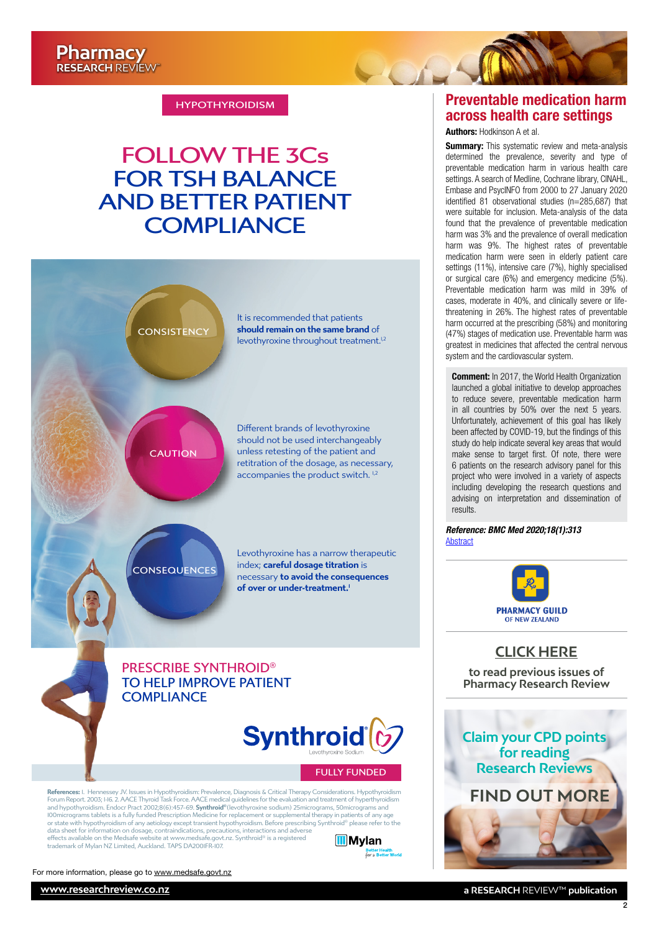#### **HYPOTHYROIDISM**

## <span id="page-1-0"></span>FOLLOW THE 3Cs FOR TSH BALANCE [AND BETTER PATIENT](http://www.medsafe.govt.nz)  **COMPLIANCE**



FULLY FUNDED

**References:** I. Hennessey JV. Issues in Hypothyroidism: Prevalence, Diagnosis & Critical Therapy Considerations. Hypothyroidism<br>Forum Report. 2003; 1-16. 2. AACE Thyroid Task Force. AACE medical guidelines for the evaluat and hypothyroidism. Endocr Pract 2002;8(6):457–69. **Synthroid®**(levothyroxine sodium) 25micrograms, 50micrograms and 100micrograms tablets is a fully funded Prescription Medicine for replacement or supplemental therapy in patients of any age<br>or state with hypothyroidism of any aetiology except transient hypothyroidism. Before prescribing data sheet for information on dosage, contraindications, precautions, interactions and adverse<br>effects available on the Medsafe website at www.medsafe.gov.t.nz. Synthroid® is a registered<br>trademark of Mylan NZ Limited, Auc **Mylan** 

For more information, please go to [www.medsafe.govt.nz](http://www.medsafe.govt.nz)

## Preventable medication harm across health care settings

### Authors: Hodkinson A et al.

PO for

**Summary:** This systematic review and meta-analysis determined the prevalence, severity and type of preventable medication harm in various health care settings. A search of Medline, Cochrane library, CINAHL, Embase and PsycINFO from 2000 to 27 January 2020 identified 81 observational studies (n=285,687) that were suitable for inclusion. Meta-analysis of the data found that the prevalence of preventable medication harm was 3% and the prevalence of overall medication harm was 9%. The highest rates of preventable medication harm were seen in elderly patient care settings (11%), intensive care (7%), highly specialised or surgical care (6%) and emergency medicine (5%). Preventable medication harm was mild in 39% of cases, moderate in 40%, and clinically severe or lifethreatening in 26%. The highest rates of preventable harm occurred at the prescribing (58%) and monitoring (47%) stages of medication use. Preventable harm was greatest in medicines that affected the central nervous system and the cardiovascular system.

**Comment:** In 2017, the World Health Organization launched a global initiative to develop approaches to reduce severe, preventable medication harm in all countries by 50% over the next 5 years. Unfortunately, achievement of this goal has likely been affected by COVID-19, but the findings of this study do help indicate several key areas that would make sense to target first. Of note, there were 6 patients on the research advisory panel for this project who were involved in a variety of aspects including developing the research questions and advising on interpretation and dissemination of results.

*Reference: BMC Med 2020;18(1):313* [Abstract](https://bmcmedicine.biomedcentral.com/articles/10.1186/s12916-020-01774-9)



## **[CLICK HERE](http://www.researchreview.co.nz/nz/Clinical-Area/Other-Health/Pharmacy.aspx?Show=RR-All)**

**to read previous issues of Pharmacy Research Review**

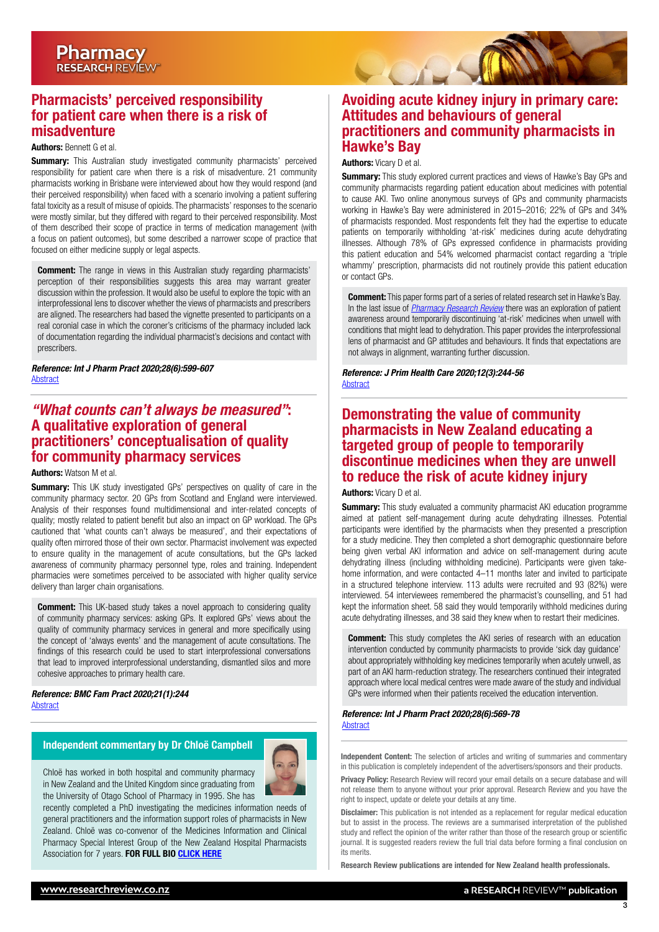## <span id="page-2-0"></span>Pharmacists' perceived responsibility for patient care when there is a risk of misadventure

#### Authors: Bennett G et al.

**Summary:** This Australian study investigated community pharmacists' perceived responsibility for patient care when there is a risk of misadventure. 21 community pharmacists working in Brisbane were interviewed about how they would respond (and their perceived responsibility) when faced with a scenario involving a patient suffering fatal toxicity as a result of misuse of opioids. The pharmacists' responses to the scenario were mostly similar, but they differed with regard to their perceived responsibility. Most of them described their scope of practice in terms of medication management (with a focus on patient outcomes), but some described a narrower scope of practice that focused on either medicine supply or legal aspects.

**Comment:** The range in views in this Australian study regarding pharmacists' perception of their responsibilities suggests this area may warrant greater discussion within the profession. It would also be useful to explore the topic with an interprofessional lens to discover whether the views of pharmacists and prescribers are aligned. The researchers had based the vignette presented to participants on a real coronial case in which the coroner's criticisms of the pharmacy included lack of documentation regarding the individual pharmacist's decisions and contact with prescribers.

*Reference: Int J Pharm Pract 2020;28(6):599-607* [Abstract](https://onlinelibrary.wiley.com/doi/10.1111/ijpp.12580)

## *"What counts can't always be measured"*: A qualitative exploration of general practitioners' conceptualisation of quality for community pharmacy services

#### Authors: Watson M et al.

**Summary:** This UK study investigated GPs' perspectives on quality of care in the community pharmacy sector. 20 GPs from Scotland and England were interviewed. Analysis of their responses found multidimensional and inter-related concepts of quality; mostly related to patient benefit but also an impact on GP workload. The GPs cautioned that 'what counts can't always be measured', and their expectations of quality often mirrored those of their own sector. Pharmacist involvement was expected to ensure quality in the management of acute consultations, but the GPs lacked awareness of community pharmacy personnel type, roles and training. Independent pharmacies were sometimes perceived to be associated with higher quality service delivery than larger chain organisations.

**Comment:** This UK-based study takes a novel approach to considering quality of community pharmacy services: asking GPs. It explored GPs' views about the quality of community pharmacy services in general and more specifically using the concept of 'always events' and the management of acute consultations. The findings of this research could be used to start interprofessional conversations that lead to improved interprofessional understanding, dismantled silos and more cohesive approaches to primary health care.

*Reference: BMC Fam Pract 2020;21(1):244* **[Abstract](https://bmcfampract.biomedcentral.com/articles/10.1186/s12875-020-01319-2)** 

#### Independent commentary by Dr Chloë Campbell



recently completed a PhD investigating the medicines information needs of general practitioners and the information support roles of pharmacists in New Zealand. Chloë was co-convenor of the Medicines Information and Clinical Pharmacy Special Interest Group of the New Zealand Hospital Pharmacists Association for 7 years. FOR FULL BIO [CLICK HERE](http://www.researchreview.co.nz/nz/Writers.aspx?area=13679&id=13679)



## Avoiding acute kidney injury in primary care: Attitudes and behaviours of general practitioners and community pharmacists in Hawke's Bay

#### Authors: Vicary D et al.

**Summary:** This study explored current practices and views of Hawke's Bay GPs and community pharmacists regarding patient education about medicines with potential to cause AKI. Two online anonymous surveys of GPs and community pharmacists working in Hawke's Bay were administered in 2015–2016; 22% of GPs and 34% of pharmacists responded. Most respondents felt they had the expertise to educate patients on temporarily withholding 'at-risk' medicines during acute dehydrating illnesses. Although 78% of GPs expressed confidence in pharmacists providing this patient education and 54% welcomed pharmacist contact regarding a 'triple whammy' prescription, pharmacists did not routinely provide this patient education or contact GPs.

**Comment:** This paper forms part of a series of related research set in Hawke's Bay. In the last issue of *[Pharmacy Research Review](https://www.researchreview.co.nz/nz/Clinical-Area/Other-Health/Pharmacy/NZ-Pharmacy-Research-Review-Issue-77.aspx)* there was an exploration of patient awareness around temporarily discontinuing 'at-risk' medicines when unwell with conditions that might lead to dehydration. This paper provides the interprofessional lens of pharmacist and GP attitudes and behaviours. It finds that expectations are not always in alignment, warranting further discussion.

*Reference: J Prim Health Care 2020;12(3):244-56* **[Abstract](https://www.publish.csiro.au/hc/HC19106)** 

## Demonstrating the value of community pharmacists in New Zealand educating a targeted group of people to temporarily discontinue medicines when they are unwell to reduce the risk of acute kidney injury

Authors: Vicary D et al.

**Summary:** This study evaluated a community pharmacist AKI education programme aimed at patient self-management during acute dehydrating illnesses. Potential participants were identified by the pharmacists when they presented a prescription for a study medicine. They then completed a short demographic questionnaire before being given verbal AKI information and advice on self-management during acute dehydrating illness (including withholding medicine). Participants were given takehome information, and were contacted 4–11 months later and invited to participate in a structured telephone interview. 113 adults were recruited and 93 (82%) were interviewed. 54 interviewees remembered the pharmacist's counselling, and 51 had kept the information sheet. 58 said they would temporarily withhold medicines during acute dehydrating illnesses, and 38 said they knew when to restart their medicines.

**Comment:** This study completes the AKI series of research with an education intervention conducted by community pharmacists to provide 'sick day guidance' about appropriately withholding key medicines temporarily when acutely unwell, as part of an AKI harm-reduction strategy. The researchers continued their integrated approach where local medical centres were made aware of the study and individual GPs were informed when their patients received the education intervention.

#### *Reference: Int J Pharm Pract 2020;28(6):569-78* [Abstract](https://onlinelibrary.wiley.com/doi/abs/10.1111/ijpp.12666)

Independent Content: The selection of articles and writing of summaries and commentary in this publication is completely independent of the advertisers/sponsors and their products.

Privacy Policy: Research Review will record your email details on a secure database and will not release them to anyone without your prior approval. Research Review and you have the right to inspect, update or delete your details at any time.

Disclaimer: This publication is not intended as a replacement for regular medical education but to assist in the process. The reviews are a summarised interpretation of the published study and reflect the opinion of the writer rather than those of the research group or scientific journal. It is suggested readers review the full trial data before forming a final conclusion on its merits.

Research Review publications are intended for New Zealand health professionals.